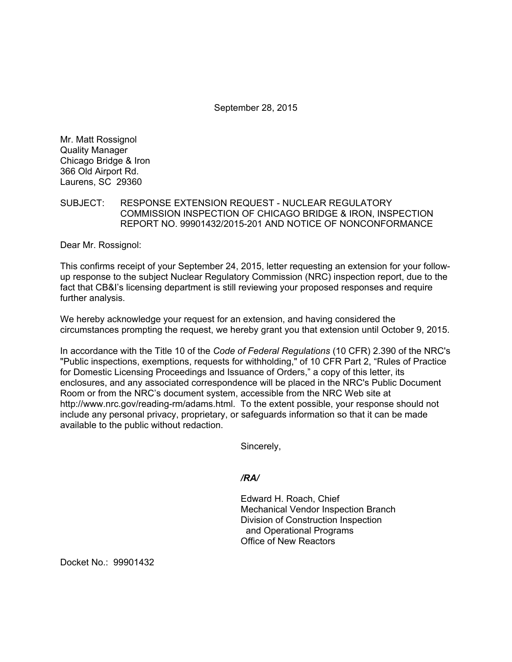September 28, 2015

Mr. Matt Rossignol Quality Manager Chicago Bridge & Iron 366 Old Airport Rd. Laurens, SC 29360

# SUBJECT: RESPONSE EXTENSION REQUEST - NUCLEAR REGULATORY COMMISSION INSPECTION OF CHICAGO BRIDGE & IRON, INSPECTION REPORT NO. 99901432/2015-201 AND NOTICE OF NONCONFORMANCE

Dear Mr. Rossignol:

This confirms receipt of your September 24, 2015, letter requesting an extension for your followup response to the subject Nuclear Regulatory Commission (NRC) inspection report, due to the fact that CB&I's licensing department is still reviewing your proposed responses and require further analysis.

We hereby acknowledge your request for an extension, and having considered the circumstances prompting the request, we hereby grant you that extension until October 9, 2015.

In accordance with the Title 10 of the *Code of Federal Regulations* (10 CFR) 2.390 of the NRC's "Public inspections, exemptions, requests for withholding," of 10 CFR Part 2, "Rules of Practice for Domestic Licensing Proceedings and Issuance of Orders," a copy of this letter, its enclosures, and any associated correspondence will be placed in the NRC's Public Document Room or from the NRC's document system, accessible from the NRC Web site at http://www.nrc.gov/reading-rm/adams.html. To the extent possible, your response should not include any personal privacy, proprietary, or safeguards information so that it can be made available to the public without redaction.

Sincerely,

*/RA/* 

Edward H. Roach, Chief Mechanical Vendor Inspection Branch Division of Construction Inspection and Operational Programs Office of New Reactors

Docket No.: 99901432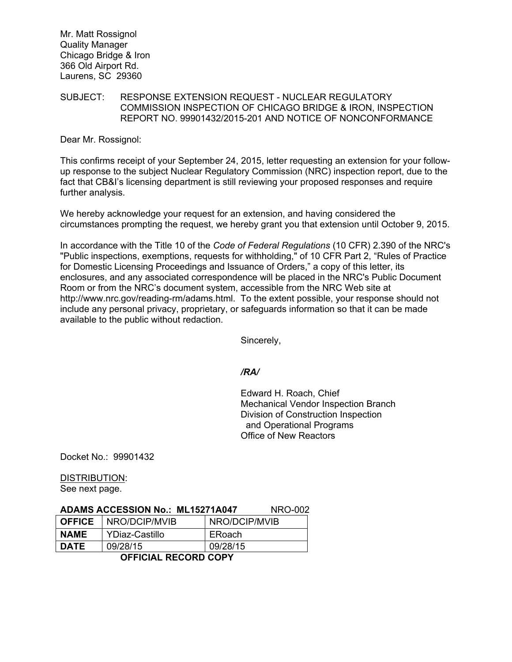Mr. Matt Rossignol Quality Manager Chicago Bridge & Iron 366 Old Airport Rd. Laurens, SC 29360

### SUBJECT: RESPONSE EXTENSION REQUEST - NUCLEAR REGULATORY COMMISSION INSPECTION OF CHICAGO BRIDGE & IRON, INSPECTION REPORT NO. 99901432/2015-201 AND NOTICE OF NONCONFORMANCE

Dear Mr. Rossignol:

This confirms receipt of your September 24, 2015, letter requesting an extension for your followup response to the subject Nuclear Regulatory Commission (NRC) inspection report, due to the fact that CB&I's licensing department is still reviewing your proposed responses and require further analysis.

We hereby acknowledge your request for an extension, and having considered the circumstances prompting the request, we hereby grant you that extension until October 9, 2015.

In accordance with the Title 10 of the *Code of Federal Regulations* (10 CFR) 2.390 of the NRC's "Public inspections, exemptions, requests for withholding," of 10 CFR Part 2, "Rules of Practice for Domestic Licensing Proceedings and Issuance of Orders," a copy of this letter, its enclosures, and any associated correspondence will be placed in the NRC's Public Document Room or from the NRC's document system, accessible from the NRC Web site at http://www.nrc.gov/reading-rm/adams.html. To the extent possible, your response should not include any personal privacy, proprietary, or safeguards information so that it can be made available to the public without redaction.

Sincerely,

*/RA/* 

Edward H. Roach, Chief Mechanical Vendor Inspection Branch Division of Construction Inspection and Operational Programs Office of New Reactors

Docket No.: 99901432

#### DISTRIBUTION:

See next page.

#### **ADAMS ACCESSION No.: ML15271A047** NRO-002

| <b>DATE</b> | 09/28/15<br>ACCIAIAL DEAADD AADV | 09/28/15      |
|-------------|----------------------------------|---------------|
| <b>NAME</b> | YDiaz-Castillo                   | ERoach        |
| ∣ OFFICE    | I NRO/DCIP/MVIB                  | NRO/DCIP/MVIB |

#### **OFFICIAL RECORD COPY**